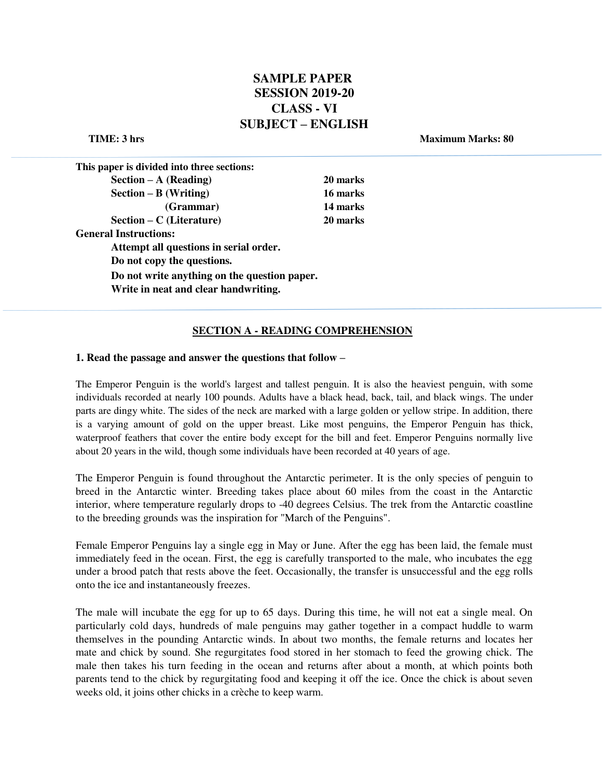# **SAMPLE PAPER SESSION 2019-20 CLASS - VI SUBJECT – ENGLISH**

**TIME:** 3 hrs Maximum Marks: 80

| This paper is divided into three sections:   |          |
|----------------------------------------------|----------|
| $Section - A (Reading)$                      | 20 marks |
| $Section - B (Writing)$                      | 16 marks |
| (Grammar)                                    | 14 marks |
| $Section - C$ (Literature)                   | 20 marks |
| <b>General Instructions:</b>                 |          |
| Attempt all questions in serial order.       |          |
| Do not copy the questions.                   |          |
| Do not write anything on the question paper. |          |
| Write in neat and clear handwriting.         |          |
|                                              |          |

## **SECTION A - READING COMPREHENSION**

#### **1. Read the passage and answer the questions that follow –**

The Emperor Penguin is the world's largest and tallest penguin. It is also the heaviest penguin, with some individuals recorded at nearly 100 pounds. Adults have a black head, back, tail, and black wings. The under parts are dingy white. The sides of the neck are marked with a large golden or yellow stripe. In addition, there is a varying amount of gold on the upper breast. Like most penguins, the Emperor Penguin has thick, waterproof feathers that cover the entire body except for the bill and feet. Emperor Penguins normally live about 20 years in the wild, though some individuals have been recorded at 40 years of age.

The Emperor Penguin is found throughout the Antarctic perimeter. It is the only species of penguin to breed in the Antarctic winter. Breeding takes place about 60 miles from the coast in the Antarctic interior, where temperature regularly drops to -40 degrees Celsius. The trek from the Antarctic coastline to the breeding grounds was the inspiration for "March of the Penguins".

Female Emperor Penguins lay a single egg in May or June. After the egg has been laid, the female must immediately feed in the ocean. First, the egg is carefully transported to the male, who incubates the egg under a brood patch that rests above the feet. Occasionally, the transfer is unsuccessful and the egg rolls onto the ice and instantaneously freezes.

The male will incubate the egg for up to 65 days. During this time, he will not eat a single meal. On particularly cold days, hundreds of male penguins may gather together in a compact huddle to warm themselves in the pounding Antarctic winds. In about two months, the female returns and locates her mate and chick by sound. She regurgitates food stored in her stomach to feed the growing chick. The male then takes his turn feeding in the ocean and returns after about a month, at which points both parents tend to the chick by regurgitating food and keeping it off the ice. Once the chick is about seven weeks old, it joins other chicks in a crèche to keep warm.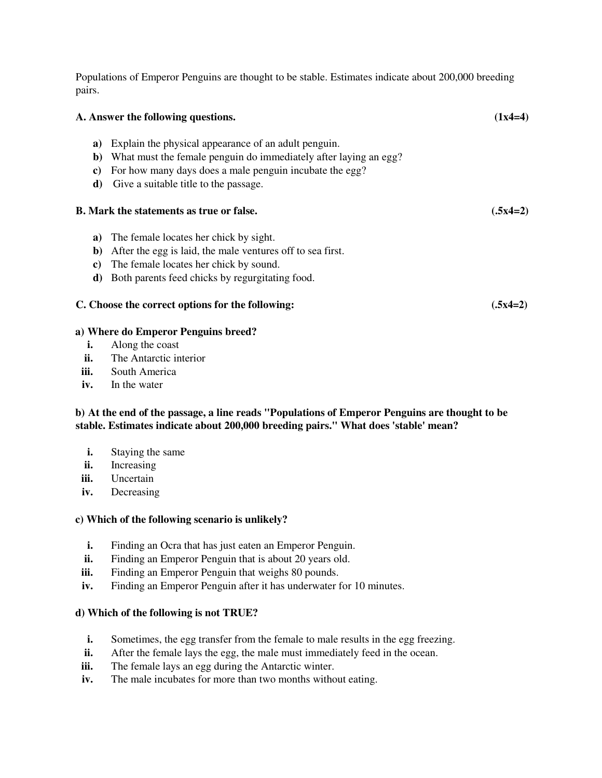Populations of Emperor Penguins are thought to be stable. Estimates indicate about 200,000 breeding pairs.

| A. Answer the following questions. |                                                                                                                                                                                                                              | $(1x4=4)$  |
|------------------------------------|------------------------------------------------------------------------------------------------------------------------------------------------------------------------------------------------------------------------------|------------|
| a)<br>b)<br>c)<br>d)               | Explain the physical appearance of an adult penguin.<br>What must the female penguin do immediately after laying an egg?<br>For how many days does a male penguin incubate the egg?<br>Give a suitable title to the passage. |            |
|                                    | <b>B.</b> Mark the statements as true or false.                                                                                                                                                                              | $(.5x4=2)$ |
| a)<br>b)<br>C)<br>d)               | The female locates her chick by sight.<br>After the egg is laid, the male ventures off to sea first.<br>The female locates her chick by sound.<br>Both parents feed chicks by regurgitating food.                            |            |
|                                    | C. Choose the correct options for the following:                                                                                                                                                                             | $(.5x4=2)$ |
|                                    | a) Where do Emperor Penguins breed?                                                                                                                                                                                          |            |
| i.                                 | Along the coast                                                                                                                                                                                                              |            |
| ii.                                | The Antarctic interior                                                                                                                                                                                                       |            |
|                                    |                                                                                                                                                                                                                              |            |

- **iii.** South America
- **iv.** In the water

# **b) At the end of the passage, a line reads "Populations of Emperor Penguins are thought to be stable. Estimates indicate about 200,000 breeding pairs." What does 'stable' mean?**

- **i.** Staying the same
- **ii.** Increasing
- **iii.** Uncertain
- **iv.** Decreasing

# **c) Which of the following scenario is unlikely?**

- **i.** Finding an Ocra that has just eaten an Emperor Penguin.
- **ii.** Finding an Emperor Penguin that is about 20 years old.
- **iii.** Finding an Emperor Penguin that weighs 80 pounds.
- **iv.** Finding an Emperor Penguin after it has underwater for 10 minutes.

# **d) Which of the following is not TRUE?**

- **i.** Sometimes, the egg transfer from the female to male results in the egg freezing.
- **ii.** After the female lays the egg, the male must immediately feed in the ocean.
- **iii.** The female lays an egg during the Antarctic winter.
- **iv.** The male incubates for more than two months without eating.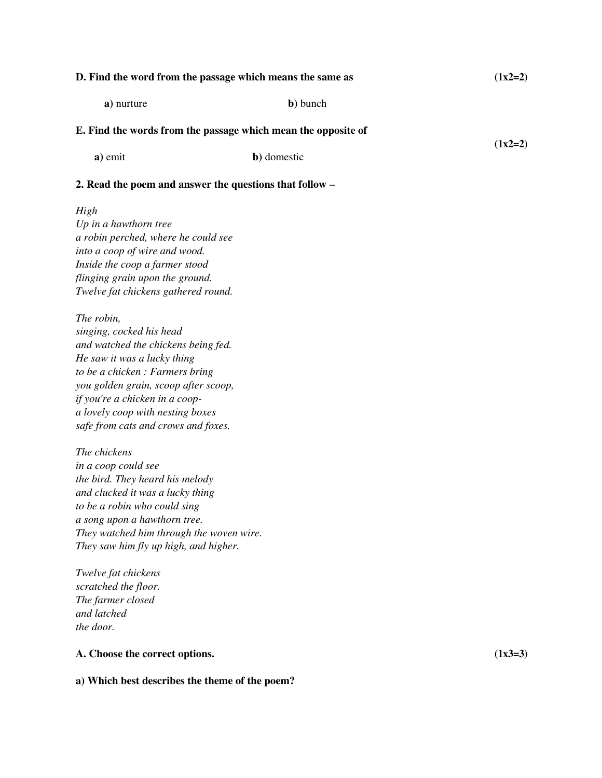| D. Find the word from the passage which means the same as |                                                               | $(1x2=2)$ |
|-----------------------------------------------------------|---------------------------------------------------------------|-----------|
| a) nurture                                                | b) bunch                                                      |           |
|                                                           | E. Find the words from the passage which mean the opposite of |           |
| a) emit                                                   | b) domestic                                                   | $(1x2=2)$ |
|                                                           | 2. Read the poem and answer the questions that follow –       |           |
| High                                                      |                                                               |           |

*Up in a hawthorn tree a robin perched, where he could see into a coop of wire and wood. Inside the coop a farmer stood flinging grain upon the ground. Twelve fat chickens gathered round.* 

*The robin, singing, cocked his head and watched the chickens being fed. He saw it was a lucky thing to be a chicken : Farmers bring you golden grain, scoop after scoop, if you're a chicken in a coopa lovely coop with nesting boxes safe from cats and crows and foxes.* 

*The chickens in a coop could see the bird. They heard his melody and clucked it was a lucky thing to be a robin who could sing a song upon a hawthorn tree. They watched him through the woven wire. They saw him fly up high, and higher.* 

*Twelve fat chickens scratched the floor. The farmer closed and latched the door.* 

# **A. Choose the correct options. (1x3=3)**

**a) Which best describes the theme of the poem?**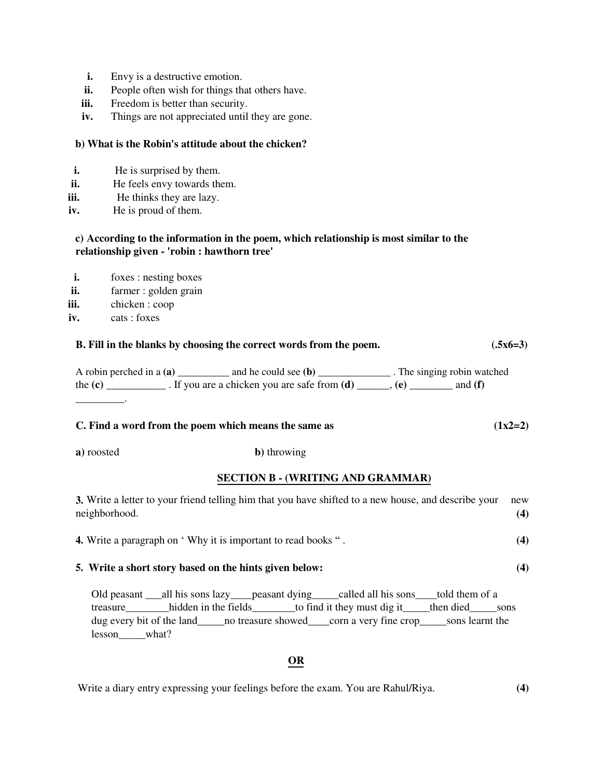- **i.** Envy is a destructive emotion.
- **ii.** People often wish for things that others have.
- **iii.** Freedom is better than security.
- **iv.** Things are not appreciated until they are gone.

## **b) What is the Robin's attitude about the chicken?**

- **i.** He is surprised by them.
- **ii.** He feels envy towards them.
- **iii.** He thinks they are lazy.
- **iv.** He is proud of them.

# **c) According to the information in the poem, which relationship is most similar to the relationship given - 'robin : hawthorn tree'**

- **i.** foxes : nesting boxes
- **ii.** farmer : golden grain
- **iii.** chicken : coop
- **iv.** cats : foxes

# **B. Fill in the blanks by choosing the correct words from the poem.** (.5x6=3)

A robin perched in a **(a)** \_\_\_\_\_\_\_\_\_\_ and he could see **(b)** \_\_\_\_\_\_\_\_\_\_\_\_\_\_ . The singing robin watched the  $(c)$  \_\_\_\_\_\_\_\_\_\_\_. If you are a chicken you are safe from  $(d)$  \_\_\_\_\_,  $(e)$  \_\_\_\_\_\_\_\_\_ and  $(f)$ \_\_\_\_\_\_\_\_\_.

## **C. Find a word from the poem which means the same as**  $(1x2=2)$

**a)** roosted **b)** throwing

# **SECTION B - (WRITING AND GRAMMAR)**

| 3. Write a letter to your friend telling him that you have shifted to a new house, and describe your<br>neighborhood. | new |
|-----------------------------------------------------------------------------------------------------------------------|-----|
| <b>4.</b> Write a paragraph on 'Why it is important to read books ".                                                  | (4) |
| 5. Write a short story based on the hints given below:                                                                | (4) |

Old peasant \_\_\_all his sons lazy\_\_\_\_peasant dying\_\_\_\_\_called all his sons\_\_\_\_told them of a treasure hidden in the fields to find it they must dig it then died sons dug every bit of the land  $\qquad$  no treasure showed  $\qquad$  corn a very fine crop sons learnt the lesson\_\_\_\_\_what?

# **OR**

# Write a diary entry expressing your feelings before the exam. You are Rahul/Riya. **(4)**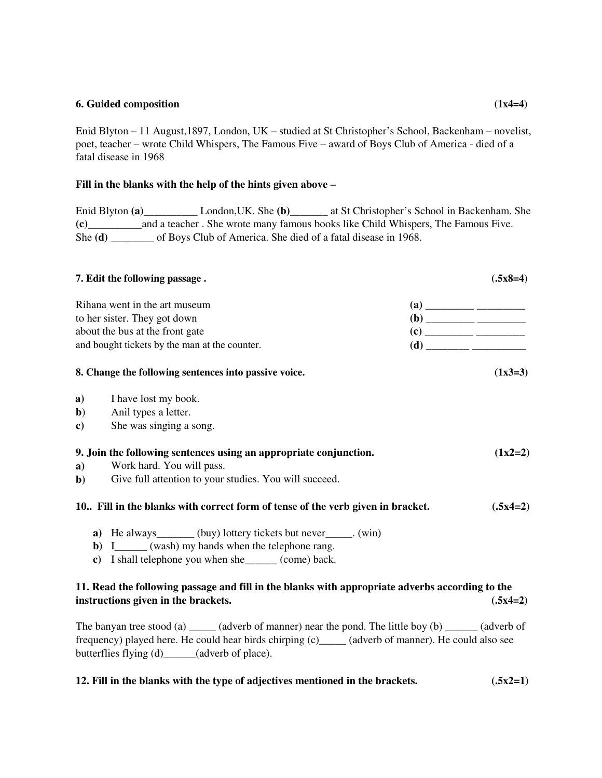## **6. Guided composition (1x4=4)**

Enid Blyton – 11 August,1897, London, UK – studied at St Christopher's School, Backenham – novelist, poet, teacher – wrote Child Whispers, The Famous Five – award of Boys Club of America - died of a fatal disease in 1968

# **Fill in the blanks with the help of the hints given above –**

Enid Blyton **(a)**\_\_\_\_\_\_\_\_\_\_ London,UK. She **(b)**\_\_\_\_\_\_\_ at St Christopher's School in Backenham. She **(c)**\_\_\_\_\_\_\_\_\_\_and a teacher . She wrote many famous books like Child Whispers, The Famous Five. She **(d)** \_\_\_\_\_\_\_\_ of Boys Club of America. She died of a fatal disease in 1968.

|                               | 7. Edit the following passage.                                                                                                         |                                                                                                                                                                                                                                                                                                                                                                                      | $(.5x8=4)$ |
|-------------------------------|----------------------------------------------------------------------------------------------------------------------------------------|--------------------------------------------------------------------------------------------------------------------------------------------------------------------------------------------------------------------------------------------------------------------------------------------------------------------------------------------------------------------------------------|------------|
| Rihana went in the art museum |                                                                                                                                        | $\overline{a}$ $\overline{a}$ $\overline{a}$ $\overline{a}$ $\overline{a}$ $\overline{a}$ $\overline{a}$ $\overline{a}$ $\overline{a}$ $\overline{a}$ $\overline{a}$ $\overline{a}$ $\overline{a}$ $\overline{a}$ $\overline{a}$ $\overline{a}$ $\overline{a}$ $\overline{a}$ $\overline{a}$ $\overline{a}$ $\overline{a}$ $\overline{a}$ $\overline{a}$ $\overline{a}$ $\overline{$ |            |
|                               | to her sister. They got down                                                                                                           |                                                                                                                                                                                                                                                                                                                                                                                      |            |
|                               | about the bus at the front gate                                                                                                        |                                                                                                                                                                                                                                                                                                                                                                                      |            |
|                               | and bought tickets by the man at the counter.                                                                                          | $\begin{picture}(150,10) \put(0,0){\line(1,0){100}} \put(0,0){\line(1,0){100}} \put(0,0){\line(1,0){100}} \put(0,0){\line(1,0){100}} \put(0,0){\line(1,0){100}} \put(0,0){\line(1,0){100}} \put(0,0){\line(1,0){100}} \put(0,0){\line(1,0){100}} \put(0,0){\line(1,0){100}} \put(0,0){\line(1,0){100}} \put(0,0){\line(1,0){100}} \put(0,0){\line($                                  |            |
|                               | 8. Change the following sentences into passive voice.                                                                                  |                                                                                                                                                                                                                                                                                                                                                                                      | $(1x3=3)$  |
|                               | a) I have lost my book.                                                                                                                |                                                                                                                                                                                                                                                                                                                                                                                      |            |
|                               | <b>b</b> ) Anil types a letter.                                                                                                        |                                                                                                                                                                                                                                                                                                                                                                                      |            |
| $\mathbf{c})$                 | She was singing a song.                                                                                                                |                                                                                                                                                                                                                                                                                                                                                                                      |            |
|                               | 9. Join the following sentences using an appropriate conjunction.                                                                      |                                                                                                                                                                                                                                                                                                                                                                                      | $(1x2=2)$  |
| a)                            | Work hard. You will pass.                                                                                                              |                                                                                                                                                                                                                                                                                                                                                                                      |            |
| $\mathbf{b}$                  | Give full attention to your studies. You will succeed.                                                                                 |                                                                                                                                                                                                                                                                                                                                                                                      |            |
|                               | 10. Fill in the blanks with correct form of tense of the verb given in bracket.                                                        |                                                                                                                                                                                                                                                                                                                                                                                      | $(.5x4=2)$ |
|                               | <b>a</b> ) He always________ (buy) lottery tickets but never______. (win)                                                              |                                                                                                                                                                                                                                                                                                                                                                                      |            |
|                               | <b>b</b> ) I_______ (wash) my hands when the telephone rang.                                                                           |                                                                                                                                                                                                                                                                                                                                                                                      |            |
|                               | c) I shall telephone you when she______ (come) back.                                                                                   |                                                                                                                                                                                                                                                                                                                                                                                      |            |
|                               | 11. Read the following passage and fill in the blanks with appropriate adverbs according to the<br>instructions given in the brackets. |                                                                                                                                                                                                                                                                                                                                                                                      | $(.5x4=2)$ |
|                               | The happy tree stood (a) (adverb of manner) pear the pond The little boy $(b)$ (adverb of                                              |                                                                                                                                                                                                                                                                                                                                                                                      |            |

The banyan tree stood (a)  $\qquad$  (adverb of manner) near the pond. The little boy (b)  $\qquad$  (adverb of frequency) played here. He could hear birds chirping (c)\_\_\_\_\_ (adverb of manner). He could also see butterflies flying (d)\_\_\_\_\_\_(adverb of place).

# **12. Fill in the blanks with the type of adjectives mentioned in the brackets. (.5x2=1)**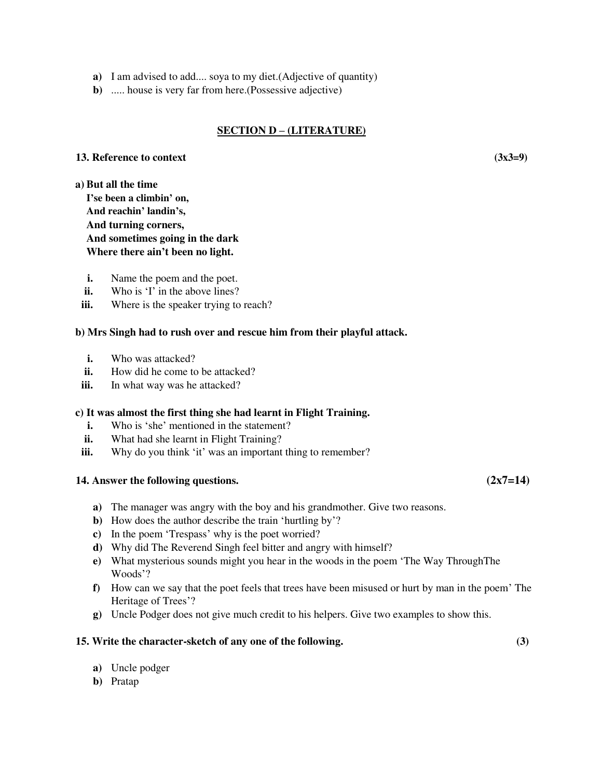- **a)** I am advised to add.... soya to my diet.(Adjective of quantity)
- **b)** ..... house is very far from here.(Possessive adjective)

## **SECTION D – (LITERATURE)**

### **13. Reference to context (3x3=9)**

**a) But all the time I'se been a climbin' on, And reachin' landin's, And turning corners, And sometimes going in the dark Where there ain't been no light.** 

- **i.** Name the poem and the poet.
- **ii.** Who is 'I' in the above lines?
- **iii.** Where is the speaker trying to reach?

## **b) Mrs Singh had to rush over and rescue him from their playful attack.**

- **i.** Who was attacked?
- **ii.** How did he come to be attacked?
- **iii.** In what way was he attacked?

## **c) It was almost the first thing she had learnt in Flight Training.**

- **i.** Who is 'she' mentioned in the statement?
- **ii.** What had she learnt in Flight Training?
- **iii.** Why do you think 'it' was an important thing to remember?

# **14. Answer the following questions. (2x7=14)**

- **a)** The manager was angry with the boy and his grandmother. Give two reasons.
- **b)** How does the author describe the train 'hurtling by'?
- **c)** In the poem 'Trespass' why is the poet worried?
- **d)** Why did The Reverend Singh feel bitter and angry with himself?
- **e)** What mysterious sounds might you hear in the woods in the poem 'The Way ThroughThe Woods'?
- **f)** How can we say that the poet feels that trees have been misused or hurt by man in the poem' The Heritage of Trees'?
- **g)** Uncle Podger does not give much credit to his helpers. Give two examples to show this.

## **15. Write the character-sketch of any one of the following. (3)**

- **a)** Uncle podger
- **b)** Pratap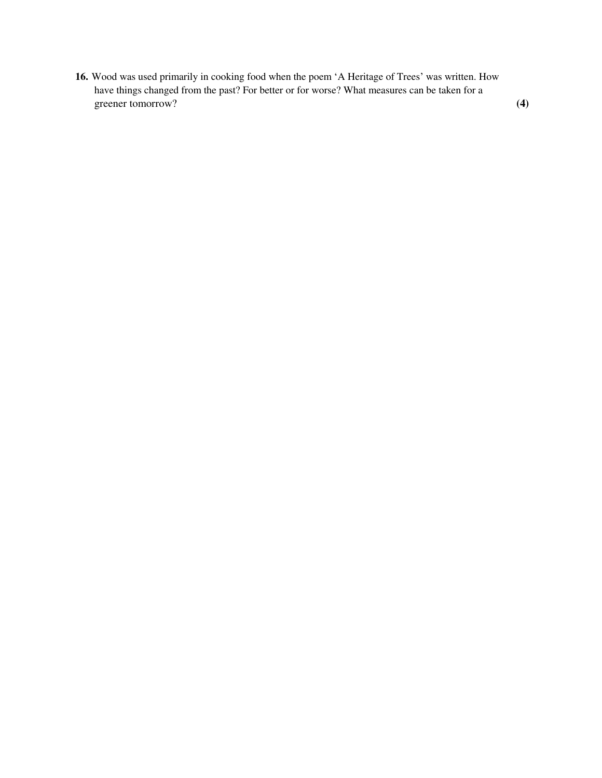**16.** Wood was used primarily in cooking food when the poem 'A Heritage of Trees' was written. How have things changed from the past? For better or for worse? What measures can be taken for a greener tomorrow? **(4)**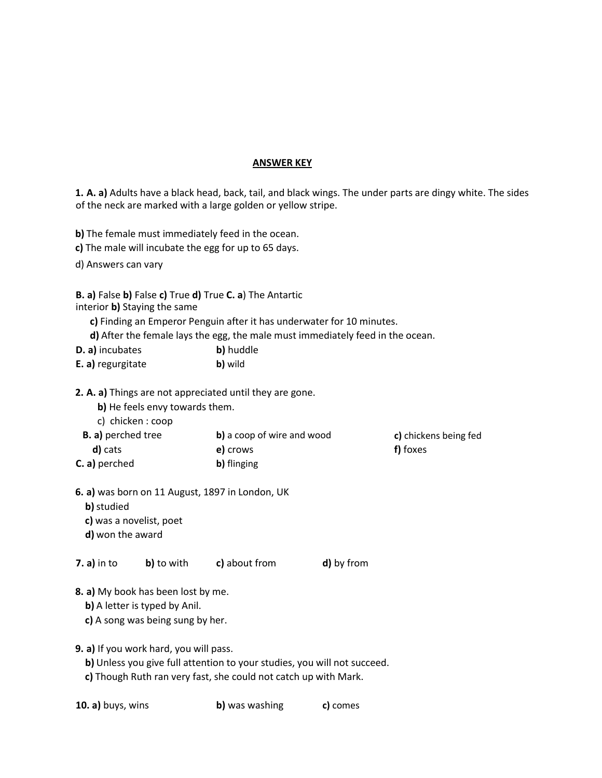## **ANSWER KEY**

**1. A. a)** Adults have a black head, back, tail, and black wings. The under parts are dingy white. The sides of the neck are marked with a large golden or yellow stripe.

**b)** The female must immediately feed in the ocean.

**c)** The male will incubate the egg for up to 65 days.

d) Answers can vary

**B. a)** False **b)** False **c)** True **d)** True **C. a**) The Antartic

interior **b)** Staying the same

**c)** Finding an Emperor Penguin after it has underwater for 10 minutes.

**d)** After the female lays the egg, the male must immediately feed in the ocean.

| D. a) incubates | b) huddle |
|-----------------|-----------|
|-----------------|-----------|

**E. a)** regurgitate **b)** wild

**2. A. a)** Things are not appreciated until they are gone.

**b)** He feels envy towards them.

c) chicken : coop

| <b>B.</b> a) perched tree | b) a coop of wire and wood | c) chickens being fed |
|---------------------------|----------------------------|-----------------------|
| d) cats                   | e) crows                   | f) foxes              |
| <b>C.</b> a) perched      | b) flinging                |                       |

**6. a)** was born on 11 August, 1897 in London, UK

- **b)**studied
- **c)** was a novelist, poet
- **d)** won the award

**7. a)** in to **b)** to with **c)** about from **d)** by from

**8. a)** My book has been lost by me.

**b)** A letter is typed by Anil.

- **c)** A song was being sung by her.
- **9. a)** If you work hard, you will pass.
	- **b)** Unless you give full attention to your studies, you will not succeed.
	- **c)** Though Ruth ran very fast, she could not catch up with Mark.